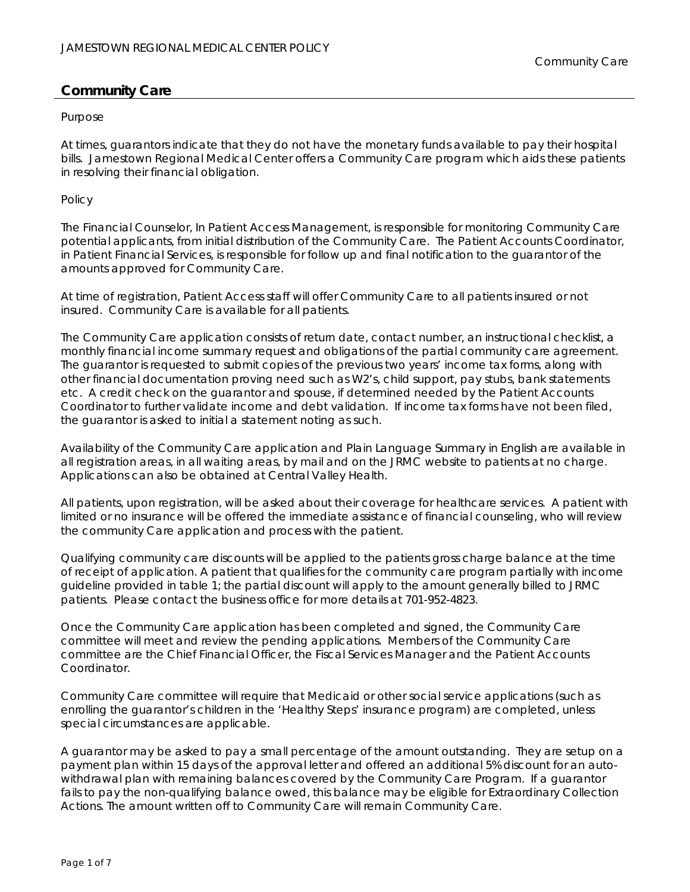#### Purpose

At times, guarantors indicate that they do not have the monetary funds available to pay their hospital bills. Jamestown Regional Medical Center offers a Community Care program which aids these patients in resolving their financial obligation.

#### Policy

The Financial Counselor, In Patient Access Management, is responsible for monitoring Community Care potential applicants, from initial distribution of the Community Care. The Patient Accounts Coordinator, in Patient Financial Services, is responsible for follow up and final notification to the guarantor of the amounts approved for Community Care.

At time of registration, Patient Access staff will offer Community Care to all patients insured or not insured. Community Care is available for all patients.

The Community Care application consists of return date, contact number, an instructional checklist, a monthly financial income summary request and obligations of the partial community care agreement. The guarantor is requested to submit copies of the previous two years' income tax forms, along with other financial documentation proving need such as W2's, child support, pay stubs, bank statements etc. A credit check on the guarantor and spouse, if determined needed by the Patient Accounts Coordinator to further validate income and debt validation. If income tax forms have not been filed, the guarantor is asked to initial a statement noting as such.

Availability of the Community Care application and Plain Language Summary in English are available in all registration areas, in all waiting areas, by mail and on the JRMC website to patients at no charge. Applications can also be obtained at Central Valley Health.

All patients, upon registration, will be asked about their coverage for healthcare services. A patient with limited or no insurance will be offered the immediate assistance of financial counseling, who will review the community Care application and process with the patient.

Qualifying community care discounts will be applied to the patients gross charge balance at the time of receipt of application. A patient that qualifies for the community care program partially with income guideline provided in table 1; the partial discount will apply to the amount generally billed to JRMC patients. Please contact the business office for more details at 701-952-4823.

Once the Community Care application has been completed and signed, the Community Care committee will meet and review the pending applications. Members of the Community Care committee are the Chief Financial Officer, the Fiscal Services Manager and the Patient Accounts Coordinator.

Community Care committee will require that Medicaid or other social service applications (such as enrolling the guarantor's children in the 'Healthy Steps' insurance program) are completed, unless special circumstances are applicable.

A guarantor may be asked to pay a small percentage of the amount outstanding. They are setup on a payment plan within 15 days of the approval letter and offered an additional 5% discount for an autowithdrawal plan with remaining balances covered by the Community Care Program. If a guarantor fails to pay the non-qualifying balance owed, this balance may be eligible for Extraordinary Collection Actions. The amount written off to Community Care will remain Community Care.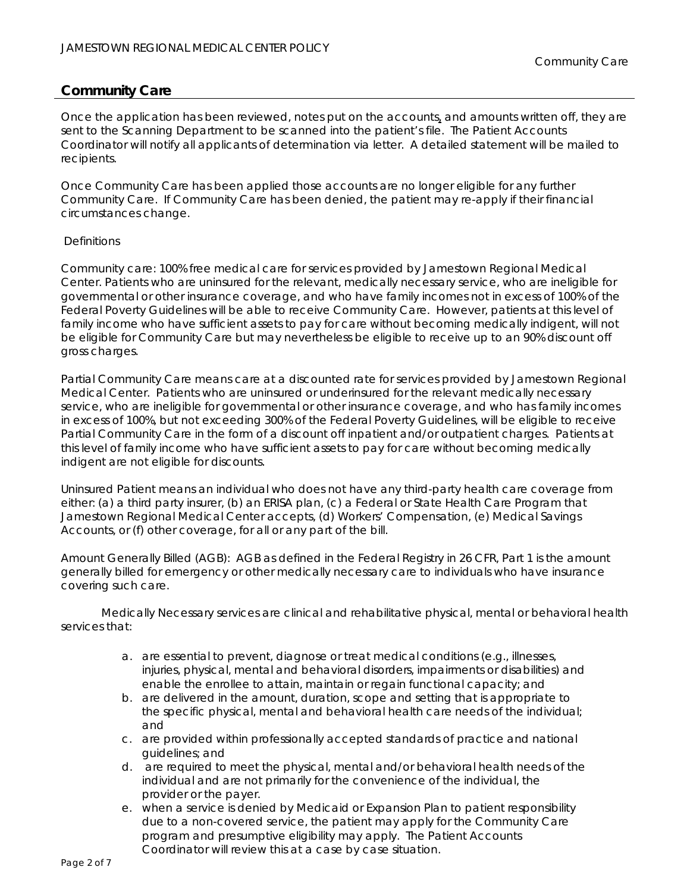Once the application has been reviewed, notes put on the accounts, and amounts written off, they are sent to the Scanning Department to be scanned into the patient's file. The Patient Accounts Coordinator will notify all applicants of determination via letter. A detailed statement will be mailed to recipients.

Once Community Care has been applied those accounts are no longer eligible for any further Community Care. If Community Care has been denied, the patient may re-apply if their financial circumstances change.

## **Definitions**

Community care: 100% free medical care for services provided by Jamestown Regional Medical Center. Patients who are uninsured for the relevant, medically necessary service, who are ineligible for governmental or other insurance coverage, and who have family incomes not in excess of 100% of the Federal Poverty Guidelines will be able to receive Community Care. However, patients at this level of family income who have sufficient assets to pay for care without becoming medically indigent, will not be eligible for Community Care but may nevertheless be eligible to receive up to an 90% discount off gross charges.

Partial Community Care means care at a discounted rate for services provided by Jamestown Regional Medical Center. Patients who are uninsured or underinsured for the relevant medically necessary service, who are ineligible for governmental or other insurance coverage, and who has family incomes in excess of 100%, but not exceeding 300% of the Federal Poverty Guidelines, will be eligible to receive Partial Community Care in the form of a discount off inpatient and/or outpatient charges. Patients at this level of family income who have sufficient assets to pay for care without becoming medically indigent are not eligible for discounts.

Uninsured Patient means an individual who does not have any third-party health care coverage from either: (a) a third party insurer, (b) an ERISA plan, (c) a Federal or State Health Care Program that Jamestown Regional Medical Center accepts, (d) Workers' Compensation, (e) Medical Savings Accounts, or (f) other coverage, for all or any part of the bill.

Amount Generally Billed (AGB): AGB as defined in the Federal Registry in 26 CFR, Part 1 is the amount generally billed for emergency or other medically necessary care to individuals who have insurance covering such care.

Medically Necessary services are clinical and rehabilitative physical, mental or behavioral health services that:

- a. are essential to prevent, diagnose or treat medical conditions (e.g., illnesses, injuries, physical, mental and behavioral disorders, impairments or disabilities) and enable the enrollee to attain, maintain or regain functional capacity; and
- b. are delivered in the amount, duration, scope and setting that is appropriate to the specific physical, mental and behavioral health care needs of the individual; and
- c. are provided within professionally accepted standards of practice and national guidelines; and
- d. are required to meet the physical, mental and/or behavioral health needs of the individual and are not primarily for the convenience of the individual, the provider or the payer.
- e. when a service is denied by Medicaid or Expansion Plan to patient responsibility due to a non-covered service, the patient may apply for the Community Care program and presumptive eligibility may apply. The Patient Accounts Coordinator will review this at a case by case situation.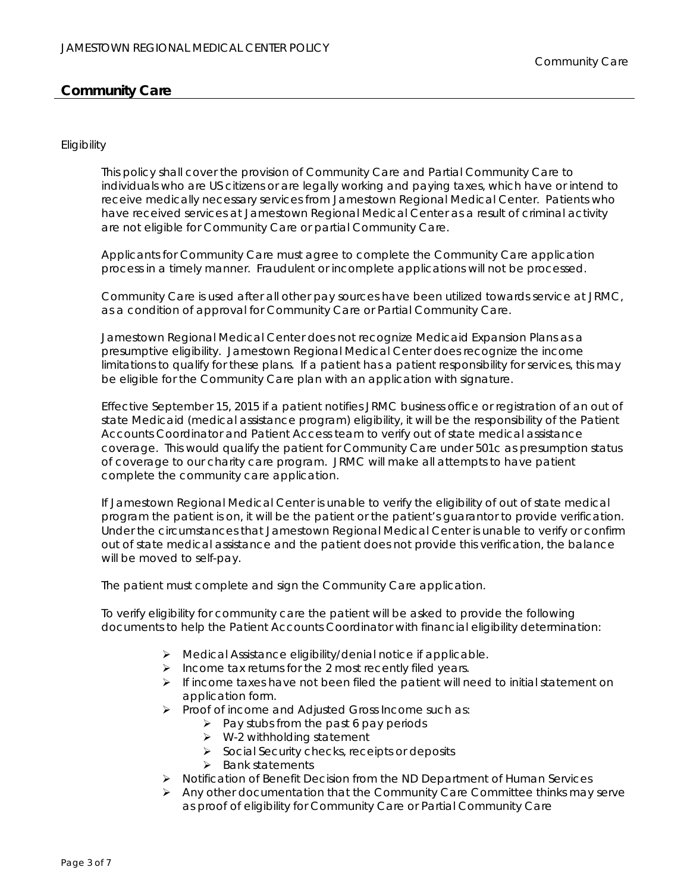## Eligibility

This policy shall cover the provision of Community Care and Partial Community Care to individuals who are US citizens or are legally working and paying taxes, which have or intend to receive medically necessary services from Jamestown Regional Medical Center. Patients who have received services at Jamestown Regional Medical Center as a result of criminal activity are not eligible for Community Care or partial Community Care.

Applicants for Community Care must agree to complete the Community Care application process in a timely manner. Fraudulent or incomplete applications will not be processed.

Community Care is used after all other pay sources have been utilized towards service at JRMC, as a condition of approval for Community Care or Partial Community Care.

Jamestown Regional Medical Center does not recognize Medicaid Expansion Plans as a presumptive eligibility. Jamestown Regional Medical Center does recognize the income limitations to qualify for these plans. If a patient has a patient responsibility for services, this may be eligible for the Community Care plan with an application with signature.

Effective September 15, 2015 if a patient notifies JRMC business office or registration of an out of state Medicaid (medical assistance program) eligibility, it will be the responsibility of the Patient Accounts Coordinator and Patient Access team to verify out of state medical assistance coverage. This would qualify the patient for Community Care under 501c as presumption status of coverage to our charity care program. JRMC will make all attempts to have patient complete the community care application.

If Jamestown Regional Medical Center is unable to verify the eligibility of out of state medical program the patient is on, it will be the patient or the patient's guarantor to provide verification. Under the circumstances that Jamestown Regional Medical Center is unable to verify or confirm out of state medical assistance and the patient does not provide this verification, the balance will be moved to self-pay.

The patient must complete and sign the Community Care application.

To verify eligibility for community care the patient will be asked to provide the following documents to help the Patient Accounts Coordinator with financial eligibility determination:

- Medical Assistance eligibility/denial notice if applicable.
- $\triangleright$  Income tax returns for the 2 most recently filed years.
- $\triangleright$  If income taxes have not been filed the patient will need to initial statement on application form.
- $\triangleright$  Proof of income and Adjusted Gross Income such as:
	- $\triangleright$  Pay stubs from the past 6 pay periods
	- $\triangleright$  W-2 withholding statement
	- $\triangleright$  Social Security checks, receipts or deposits
	- $\triangleright$  Bank statements
- Notification of Benefit Decision from the ND Department of Human Services
- Any other documentation that the Community Care Committee thinks may serve as proof of eligibility for Community Care or Partial Community Care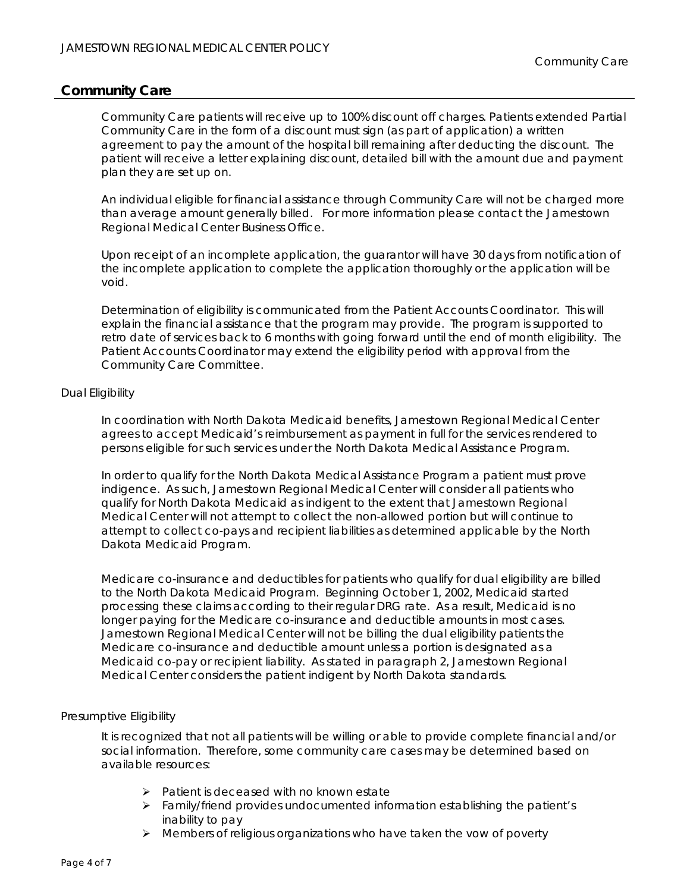Community Care patients will receive up to 100% discount off charges. Patients extended Partial Community Care in the form of a discount must sign (as part of application) a written agreement to pay the amount of the hospital bill remaining after deducting the discount. The patient will receive a letter explaining discount, detailed bill with the amount due and payment plan they are set up on.

An individual eligible for financial assistance through Community Care will not be charged more than average amount generally billed. For more information please contact the Jamestown Regional Medical Center Business Office.

Upon receipt of an incomplete application, the guarantor will have 30 days from notification of the incomplete application to complete the application thoroughly or the application will be void.

Determination of eligibility is communicated from the Patient Accounts Coordinator. This will explain the financial assistance that the program may provide. The program is supported to retro date of services back to 6 months with going forward until the end of month eligibility. The Patient Accounts Coordinator may extend the eligibility period with approval from the Community Care Committee.

## Dual Eligibility

In coordination with North Dakota Medicaid benefits, Jamestown Regional Medical Center agrees to accept Medicaid's reimbursement as payment in full for the services rendered to persons eligible for such services under the North Dakota Medical Assistance Program.

In order to qualify for the North Dakota Medical Assistance Program a patient must prove indigence. As such, Jamestown Regional Medical Center will consider all patients who qualify for North Dakota Medicaid as indigent to the extent that Jamestown Regional Medical Center will not attempt to collect the non-allowed portion but will continue to attempt to collect co-pays and recipient liabilities as determined applicable by the North Dakota Medicaid Program.

Medicare co-insurance and deductibles for patients who qualify for dual eligibility are billed to the North Dakota Medicaid Program. Beginning October 1, 2002, Medicaid started processing these claims according to their regular DRG rate. As a result, Medicaid is no longer paying for the Medicare co-insurance and deductible amounts in most cases. Jamestown Regional Medical Center will not be billing the dual eligibility patients the Medicare co-insurance and deductible amount unless a portion is designated as a Medicaid co-pay or recipient liability. As stated in paragraph 2, Jamestown Regional Medical Center considers the patient indigent by North Dakota standards.

## Presumptive Eligibility

It is recognized that not all patients will be willing or able to provide complete financial and/or social information. Therefore, some community care cases may be determined based on available resources:

- $\triangleright$  Patient is deceased with no known estate
- $\triangleright$  Family/friend provides undocumented information establishing the patient's inability to pay
- $\triangleright$  Members of religious organizations who have taken the vow of poverty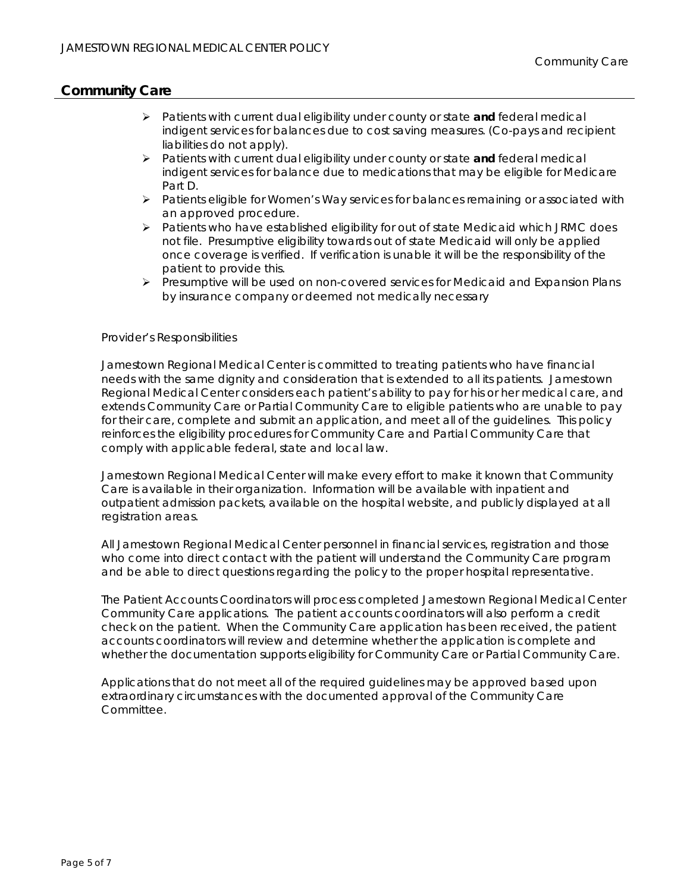- Patients with current dual eligibility under county or state **and** federal medical indigent services for balances due to cost saving measures. (Co-pays and recipient liabilities do not apply).
- Patients with current dual eligibility under county or state **and** federal medical indigent services for balance due to medications that may be eligible for Medicare Part D.
- $\triangleright$  Patients eligible for Women's Way services for balances remaining or associated with an approved procedure.
- $\triangleright$  Patients who have established eligibility for out of state Medicaid which JRMC does not file. Presumptive eligibility towards out of state Medicaid will only be applied once coverage is verified. If verification is unable it will be the responsibility of the patient to provide this.
- $\triangleright$  Presumptive will be used on non-covered services for Medicaid and Expansion Plans by insurance company or deemed not medically necessary

#### Provider's Responsibilities

Jamestown Regional Medical Center is committed to treating patients who have financial needs with the same dignity and consideration that is extended to all its patients. Jamestown Regional Medical Center considers each patient's ability to pay for his or her medical care, and extends Community Care or Partial Community Care to eligible patients who are unable to pay for their care, complete and submit an application, and meet all of the guidelines. This policy reinforces the eligibility procedures for Community Care and Partial Community Care that comply with applicable federal, state and local law.

Jamestown Regional Medical Center will make every effort to make it known that Community Care is available in their organization. Information will be available with inpatient and outpatient admission packets, available on the hospital website, and publicly displayed at all registration areas.

All Jamestown Regional Medical Center personnel in financial services, registration and those who come into direct contact with the patient will understand the Community Care program and be able to direct questions regarding the policy to the proper hospital representative.

The Patient Accounts Coordinators will process completed Jamestown Regional Medical Center Community Care applications. The patient accounts coordinators will also perform a credit check on the patient. When the Community Care application has been received, the patient accounts coordinators will review and determine whether the application is complete and whether the documentation supports eligibility for Community Care or Partial Community Care.

Applications that do not meet all of the required guidelines may be approved based upon extraordinary circumstances with the documented approval of the Community Care Committee.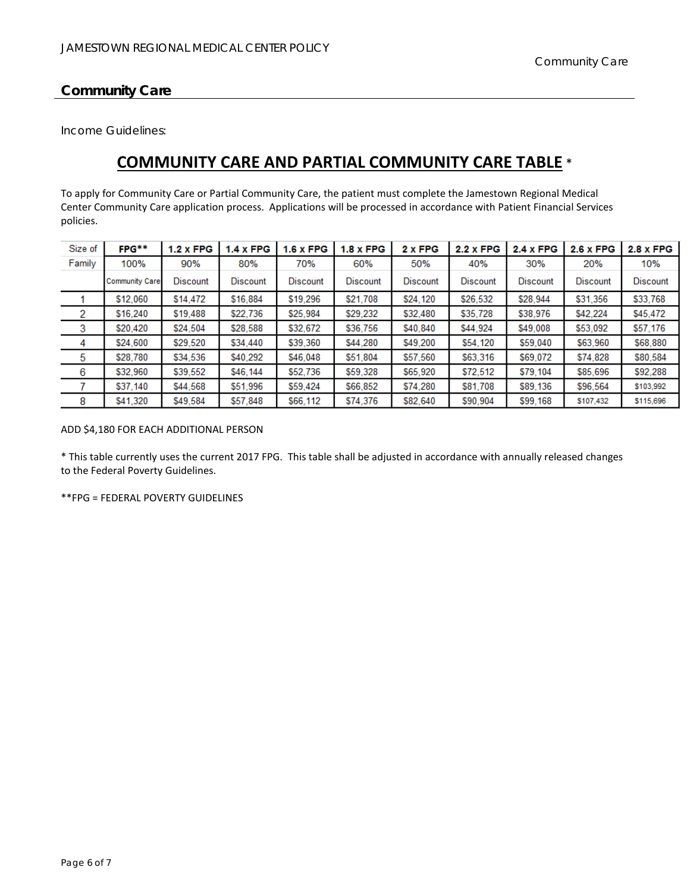Income Guidelines:

# **COMMUNITY CARE AND PARTIAL COMMUNITY CARE TABLE** \*

To apply for Community Care or Partial Community Care, the patient must complete the Jamestown Regional Medical Center Community Care application process. Applications will be processed in accordance with Patient Financial Services policies.

| Size of | FPG**                 | $1.2 \times FPG$ | $1.4 \times FPG$ | <b>1.6 x FPG</b> | $1.8 \times FPG$ | 2 x FPG         | <b>2.2 x FPG</b> | <b>2.4 x FPG</b> | 2.6 x FPG       | <b>2.8 x FPG</b> |
|---------|-----------------------|------------------|------------------|------------------|------------------|-----------------|------------------|------------------|-----------------|------------------|
| Family  | 100%                  | 90%              | 80%              | 70%              | 60%              | 50%             | 40%              | 30%              | 20%             | 10%              |
|         | <b>Community Care</b> | <b>Discount</b>  | <b>Discount</b>  | <b>Discount</b>  | <b>Discount</b>  | <b>Discount</b> | <b>Discount</b>  | <b>Discount</b>  | <b>Discount</b> | <b>Discount</b>  |
|         | \$12.060              | \$14,472         | \$16,884         | \$19,296         | \$21,708         | \$24,120        | \$26,532         | \$28,944         | \$31,356        | \$33,768         |
| 2       | \$16,240              | \$19,488         | \$22,736         | \$25.984         | \$29,232         | \$32,480        | \$35,728         | \$38,976         | \$42,224        | \$45,472         |
| 3       | \$20.420              | \$24,504         | \$28,588         | \$32,672         | \$36,756         | \$40,840        | \$44.924         | \$49,008         | \$53,092        | \$57,176         |
| 4       | \$24,600              | \$29,520         | \$34,440         | \$39,360         | \$44,280         | \$49,200        | \$54,120         | \$59,040         | \$63,960        | \$68,880         |
| 5       | \$28,780              | \$34,536         | \$40,292         | \$46,048         | \$51,804         | \$57,560        | \$63,316         | \$69,072         | \$74,828        | \$80,584         |
| 6       | \$32,960              | \$39,552         | \$46,144         | \$52,736         | \$59,328         | \$65,920        | \$72,512         | \$79,104         | \$85,696        | \$92,288         |
|         | \$37.140              | \$44,568         | \$51,996         | \$59,424         | \$66,852         | \$74,280        | \$81,708         | \$89,136         | \$96,564        | \$103,992        |
| 8       | \$41,320              | \$49,584         | \$57,848         | \$66,112         | \$74,376         | \$82,640        | \$90,904         | \$99,168         | \$107,432       | \$115,696        |

ADD \$4,180 FOR EACH ADDITIONAL PERSON

\* This table currently uses the current 2017 FPG. This table shall be adjusted in accordance with annually released changes to the Federal Poverty Guidelines.

\*\*FPG = FEDERAL POVERTY GUIDELINES